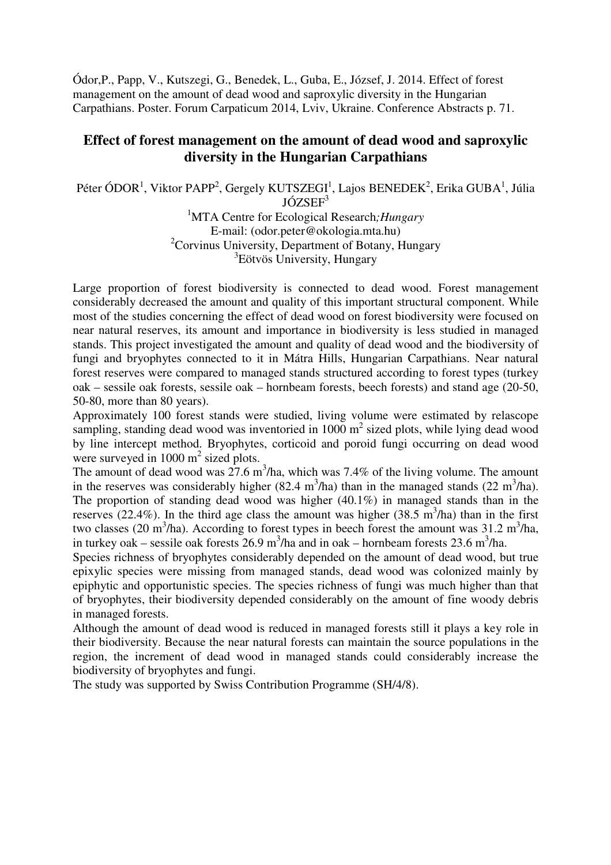Ódor,P., Papp, V., Kutszegi, G., Benedek, L., Guba, E., József, J. 2014. Effect of forest management on the amount of dead wood and saproxylic diversity in the Hungarian Carpathians. Poster. Forum Carpaticum 2014, Lviv, Ukraine. Conference Abstracts p. 71.

#### **Effect of forest management on the amount of dead wood and saproxylic diversity in the Hungarian Carpathians**

Péter ÓDOR<sup>1</sup>, Viktor PAPP<sup>2</sup>, Gergely KUTSZEGI<sup>1</sup>, Lajos BENEDEK<sup>2</sup>, Erika GUBA<sup>1</sup>, Júlia JÓZSEF<sup>3</sup>

<sup>1</sup>MTA Centre for Ecological Research*;Hungary* E-mail: (odor.peter@okologia.mta.hu) <sup>2</sup>Corvinus University, Department of Botany, Hungary 3 Eötvös University, Hungary

Large proportion of forest biodiversity is connected to dead wood. Forest management considerably decreased the amount and quality of this important structural component. While most of the studies concerning the effect of dead wood on forest biodiversity were focused on near natural reserves, its amount and importance in biodiversity is less studied in managed stands. This project investigated the amount and quality of dead wood and the biodiversity of fungi and bryophytes connected to it in Mátra Hills, Hungarian Carpathians. Near natural forest reserves were compared to managed stands structured according to forest types (turkey oak – sessile oak forests, sessile oak – hornbeam forests, beech forests) and stand age (20-50, 50-80, more than 80 years).

Approximately 100 forest stands were studied, living volume were estimated by relascope sampling, standing dead wood was inventoried in  $1000 \text{ m}^2$  sized plots, while lying dead wood by line intercept method. Bryophytes, corticoid and poroid fungi occurring on dead wood were surveyed in  $1000 \text{ m}^2$  sized plots.

The amount of dead wood was  $27.6 \text{ m}^3/\text{ha}$ , which was 7.4% of the living volume. The amount in the reserves was considerably higher  $(82.4 \text{ m}^3/\text{ha})$  than in the managed stands  $(22 \text{ m}^3/\text{ha})$ . The proportion of standing dead wood was higher (40.1%) in managed stands than in the reserves (22.4%). In the third age class the amount was higher (38.5 m<sup>3</sup>/ha) than in the first two classes (20 m<sup>3</sup>/ha). According to forest types in beech forest the amount was 31.2 m<sup>3</sup>/ha, in turkey oak – sessile oak forests  $26.9 \text{ m}^3/\text{ha}$  and in oak – hornbeam forests  $23.6 \text{ m}^3/\text{ha}$ .

Species richness of bryophytes considerably depended on the amount of dead wood, but true epixylic species were missing from managed stands, dead wood was colonized mainly by epiphytic and opportunistic species. The species richness of fungi was much higher than that of bryophytes, their biodiversity depended considerably on the amount of fine woody debris in managed forests.

Although the amount of dead wood is reduced in managed forests still it plays a key role in their biodiversity. Because the near natural forests can maintain the source populations in the region, the increment of dead wood in managed stands could considerably increase the biodiversity of bryophytes and fungi.

The study was supported by Swiss Contribution Programme (SH/4/8).